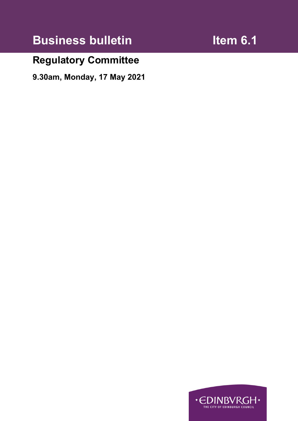# **Business bulletin Item 6.1**

## **Regulatory Committee**

**9.30am, Monday, 17 May 2021** 

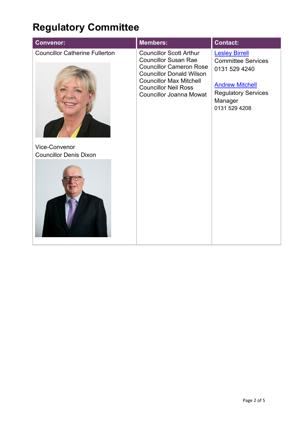# **Regulatory Committee**

|                                                                                                                                                                                                                                                                                                                                                                                                                                                                                                    | <b>Convenor:</b> | <b>Members:</b> | <b>Contact:</b> |
|----------------------------------------------------------------------------------------------------------------------------------------------------------------------------------------------------------------------------------------------------------------------------------------------------------------------------------------------------------------------------------------------------------------------------------------------------------------------------------------------------|------------------|-----------------|-----------------|
| <b>Councillor Catherine Fullerton</b><br><b>Councillor Scott Arthur</b><br><b>Lesley Birrell</b><br><b>Councillor Susan Rae</b><br><b>Committee Services</b><br><b>Councillor Cameron Rose</b><br>0131 529 4240<br><b>Councillor Donald Wilson</b><br><b>Councillor Max Mitchell</b><br><b>Andrew Mitchell</b><br><b>Councillor Neil Ross</b><br><b>Regulatory Services</b><br><b>Councillor Joanna Mowat</b><br>Manager<br>0131 529 4208<br><b>Vice-Convenor</b><br><b>Councillor Denis Dixon</b> |                  |                 |                 |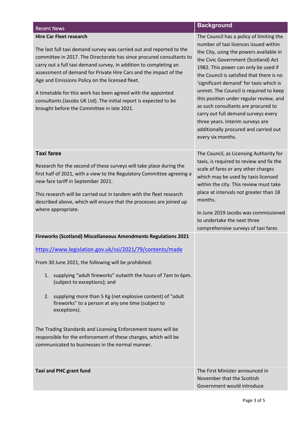### **Hire Car Fleet research**

The last full taxi demand survey was carried out and reported to the committee in 2017. The Directorate has since procured consultants to carry out a full taxi demand survey, in addition to completing an assessment of demand for Private Hire Cars and the impact of the Age and Emissions Policy on the licensed fleet.

A timetable for this work has been agreed with the appointed consultants (Jacobs UK Ltd). The initial report is expected to be brought before the Committee in late 2021.

### Recent News **Background**<br>Recent News

| The Council has a policy of limiting the  |
|-------------------------------------------|
| number of taxi licences issued within     |
| the City, using the powers available in   |
| the Civic Government (Scotland) Act       |
| 1982. This power can only be used if      |
| the Council is satisfied that there is no |
| 'significant demand' for taxis which is   |
| unmet. The Council is required to keep    |
| this position under regular review, and   |
| as such consultants are procured to       |
| carry out full demand surveys every       |
| three years. Interim surveys are          |
| additionally procured and carried out     |
| every six months.                         |
|                                           |
| The Council, as Licensing Authority for   |
| taxis, is required to review and fix the  |
| scale of fares or any other charges       |

which may be used by taxis licensed within the city. This review must take place at intervals not greater than 18

In June 2019 Jacobs was commissioned

comprehensive surveys of taxi fares

to undertake the next three

months.

### **Taxi fares**

Research for the second of these surveys will take place during the first half of 2021, with a view to the Regulatory Committee agreeing a new fare tariff in September 2021.

This research will be carried out in tandem with the fleet research described above, which will ensure that the processes are joined up where appropriate.

**Fireworks (Scotland) Miscellaneous Amendments Regulations 2021** 

<https://www.legislation.gov.uk/ssi/2021/79/contents/made>

From 30 June 2021, the following will be prohibited:

- 1. supplying "adult fireworks" outwith the hours of 7am to 6pm. (subject to exceptions); and
- 2. supplying more than 5 Kg (net explosive content) of "adult fireworks" to a person at any one time (subject to exceptions).

The Trading Standards and Licensing Enforcement teams will be responsible for the enforcement of these changes, which will be communicated to businesses in the normal manner.

**Taxi and PHC grant fund** The First Minister announced in November that the Scottish Government would introduce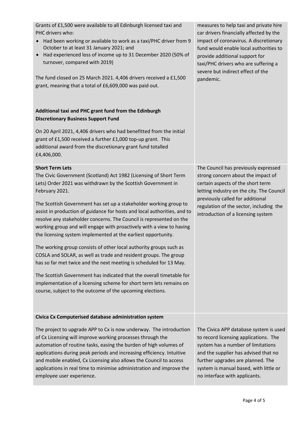| Grants of £1,500 were available to all Edinburgh licensed taxi and<br>PHC drivers who:<br>Had been working or available to work as a taxi/PHC driver from 9<br>$\bullet$<br>October to at least 31 January 2021; and<br>Had experienced loss of income up to 31 December 2020 (50% of<br>$\bullet$<br>turnover, compared with 2019)<br>The fund closed on 25 March 2021. 4,406 drivers received a £1,500<br>grant, meaning that a total of £6,609,000 was paid out. | measures to help taxi and private hire<br>car drivers financially affected by the<br>impact of coronavirus. A discretionary<br>fund would enable local authorities to<br>provide additional support for<br>taxi/PHC drivers who are suffering a<br>severe but indirect effect of the<br>pandemic. |
|---------------------------------------------------------------------------------------------------------------------------------------------------------------------------------------------------------------------------------------------------------------------------------------------------------------------------------------------------------------------------------------------------------------------------------------------------------------------|---------------------------------------------------------------------------------------------------------------------------------------------------------------------------------------------------------------------------------------------------------------------------------------------------|
| Additional taxi and PHC grant fund from the Edinburgh<br><b>Discretionary Business Support Fund</b>                                                                                                                                                                                                                                                                                                                                                                 |                                                                                                                                                                                                                                                                                                   |
| On 20 April 2021, 4,406 drivers who had benefitted from the initial<br>grant of £1,500 received a further £1,000 top-up grant. This<br>additional award from the discretionary grant fund totalled<br>£4,406,000.                                                                                                                                                                                                                                                   |                                                                                                                                                                                                                                                                                                   |
| <b>Short Term Lets</b><br>The Civic Government (Scotland) Act 1982 (Licensing of Short Term<br>Lets) Order 2021 was withdrawn by the Scottish Government in<br>February 2021.                                                                                                                                                                                                                                                                                       | The Council has previously expressed<br>strong concern about the impact of<br>certain aspects of the short term<br>letting industry on the city. The Council<br>previously called for additional                                                                                                  |
| The Scottish Government has set up a stakeholder working group to<br>assist in production of guidance for hosts and local authorities, and to<br>resolve any stakeholder concerns. The Council is represented on the<br>working group and will engage with proactively with a view to having<br>the licensing system implemented at the earliest opportunity.                                                                                                       | regulation of the sector, including the<br>introduction of a licensing system                                                                                                                                                                                                                     |
| The working group consists of other local authority groups such as<br>COSLA and SOLAR, as well as trade and resident groups. The group<br>has so far met twice and the next meeting is scheduled for 13 May.                                                                                                                                                                                                                                                        |                                                                                                                                                                                                                                                                                                   |
| The Scottish Government has indicated that the overall timetable for<br>implementation of a licensing scheme for short term lets remains on<br>course, subject to the outcome of the upcoming elections.                                                                                                                                                                                                                                                            |                                                                                                                                                                                                                                                                                                   |
| Civica Cx Computerised database administration system                                                                                                                                                                                                                                                                                                                                                                                                               |                                                                                                                                                                                                                                                                                                   |
| The project to upgrade APP to Cx is now underway. The introduction<br>of Cx Licensing will improve working processes through the<br>automation of routine tasks, easing the burden of high volumes of<br>applications during peak periods and increasing efficiency. Intuitive<br>and mobile enabled, Cx Licensing also allows the Council to access<br>applications in real time to minimise administration and improve the<br>employee user experience.           | The Civica APP database system is used<br>to record licensing applications. The<br>system has a number of limitations<br>and the supplier has advised that no<br>further upgrades are planned. The<br>system is manual based, with little or<br>no interface with applicants.                     |